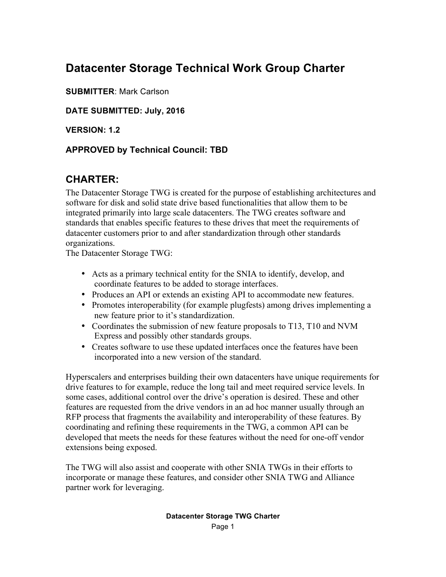# **Datacenter Storage Technical Work Group Charter**

**SUBMITTER**: Mark Carlson

**DATE SUBMITTED: July, 2016**

**VERSION: 1.2**

#### **APPROVED by Technical Council: TBD**

# **CHARTER:**

The Datacenter Storage TWG is created for the purpose of establishing architectures and software for disk and solid state drive based functionalities that allow them to be integrated primarily into large scale datacenters. The TWG creates software and standards that enables specific features to these drives that meet the requirements of datacenter customers prior to and after standardization through other standards organizations.

The Datacenter Storage TWG:

- Acts as a primary technical entity for the SNIA to identify, develop, and coordinate features to be added to storage interfaces.
- Produces an API or extends an existing API to accommodate new features.
- Promotes interoperability (for example plugfests) among drives implementing a new feature prior to it's standardization.
- Coordinates the submission of new feature proposals to T13, T10 and NVM Express and possibly other standards groups.
- Creates software to use these updated interfaces once the features have been incorporated into a new version of the standard.

Hyperscalers and enterprises building their own datacenters have unique requirements for drive features to for example, reduce the long tail and meet required service levels. In some cases, additional control over the drive's operation is desired. These and other features are requested from the drive vendors in an ad hoc manner usually through an RFP process that fragments the availability and interoperability of these features. By coordinating and refining these requirements in the TWG, a common API can be developed that meets the needs for these features without the need for one-off vendor extensions being exposed.

The TWG will also assist and cooperate with other SNIA TWGs in their efforts to incorporate or manage these features, and consider other SNIA TWG and Alliance partner work for leveraging.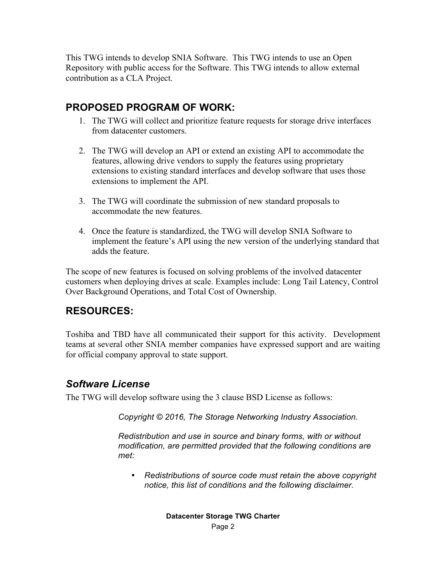This TWG intends to develop SNIA Software. This TWG intends to use an Open Repository with public access for the Software. This TWG intends to allow external contribution as a CLA Project.

# **PROPOSED PROGRAM OF WORK:**

- 1. The TWG will collect and prioritize feature requests for storage drive interfaces from datacenter customers.
- 2. The TWG will develop an API or extend an existing API to accommodate the features, allowing drive vendors to supply the features using proprietary extensions to existing standard interfaces and develop software that uses those extensions to implement the API.
- 3. The TWG will coordinate the submission of new standard proposals to accommodate the new features.
- 4. Once the feature is standardized, the TWG will develop SNIA Software to implement the feature's API using the new version of the underlying standard that adds the feature.

The scope of new features is focused on solving problems of the involved datacenter customers when deploying drives at scale. Examples include: Long Tail Latency, Control Over Background Operations, and Total Cost of Ownership.

### **RESOURCES:**

Toshiba and TBD have all communicated their support for this activity. Development teams at several other SNIA member companies have expressed support and are waiting for official company approval to state support.

### *Software License*

The TWG will develop software using the 3 clause BSD License as follows:

*Copyright © 2016, The Storage Networking Industry Association.*

*Redistribution and use in source and binary forms, with or without modification, are permitted provided that the following conditions are met:*

• *Redistributions of source code must retain the above copyright notice, this list of conditions and the following disclaimer.*